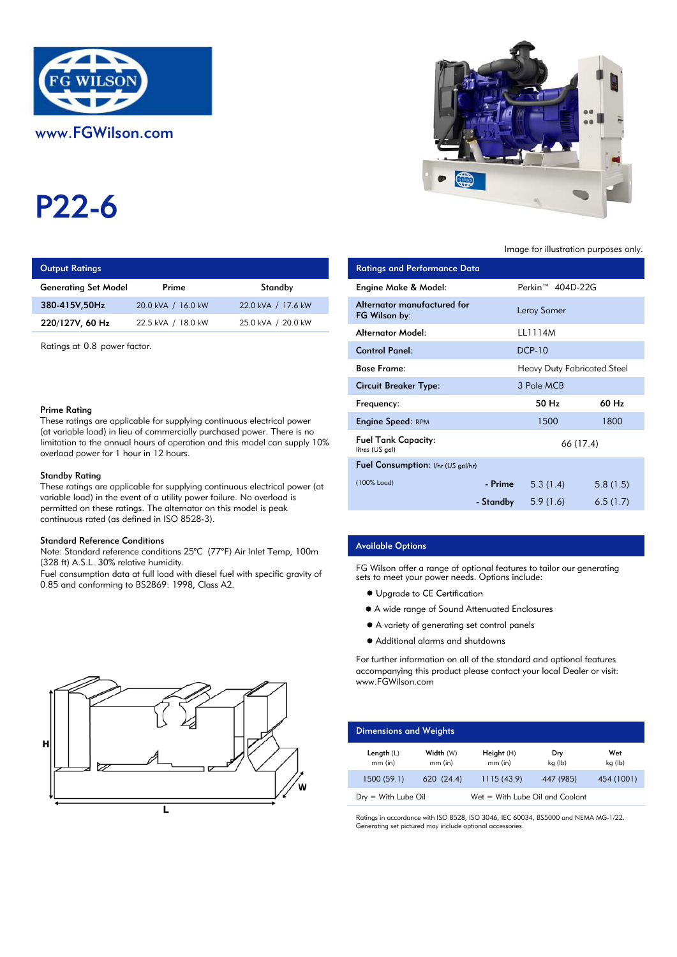

# P22-6

# **Output Ratings**

| <b>Generating Set Model</b> | Prime              | Standby            | Engine Make & Model:  |
|-----------------------------|--------------------|--------------------|-----------------------|
| 380-415V.50Hz               | 20.0 kVA / 16.0 kW | 22.0 kVA / 17.6 kW | Alternator manufactur |
| 220/127V, 60 Hz             | 22.5 kVA / 18.0 kW | 25.0 kVA / 20.0 kW | FG Wilson by:         |
|                             |                    |                    |                       |

Ratings at 0.8 power factor.

#### Prime Rating

These ratings are applicable for supplying continuous electrical power (at variable load) in lieu of commercially purchased power. There is no limitation to the annual hours of operation and this model can supply 10% overload power for 1 hour in 12 hours.

#### Standby Rating

These ratings are applicable for supplying continuous electrical power (at variable load) in the event of a utility power failure. No overload is permitted on these ratings. The alternator on this model is peak continuous rated (as defined in ISO 8528-3).

#### Standard Reference Conditions

Note: Standard reference conditions 25°C (77°F) Air Inlet Temp, 100m (328 ft) A.S.L. 30% relative humidity.

Fuel consumption data at full load with diesel fuel with specific gravity of 0.85 and conforming to BS2869: 1998, Class A2.





#### Image for illustration purposes only.

| ings                                                                                                                                                                                                                             |                    |                       | <b>Ratings and Performance Data</b>           |               |                                    |           |
|----------------------------------------------------------------------------------------------------------------------------------------------------------------------------------------------------------------------------------|--------------------|-----------------------|-----------------------------------------------|---------------|------------------------------------|-----------|
| Set Model                                                                                                                                                                                                                        | Prime              | Standby               | <b>Engine Make &amp; Model:</b>               |               | Perkin <sup>™</sup> 404D-22G       |           |
| 50Hz                                                                                                                                                                                                                             | 20.0 kVA / 16.0 kW | 22.0 kVA / 17.6 kW    | Alternator manufactured for<br>FG Wilson by:  |               | Leroy Somer                        |           |
| 60 Hz                                                                                                                                                                                                                            | 22.5 kVA / 18.0 kW | 25.0 kVA / 20.0 kW    | <b>Alternator Model:</b>                      |               | LL1114M                            |           |
| 0.8 power factor.                                                                                                                                                                                                                |                    | <b>Control Panel:</b> |                                               | <b>DCP-10</b> |                                    |           |
| ٦a<br>gs are applicable for supplying continuous electrical power<br>load) in lieu of commercially purchased power. There is no<br>o the annual hours of operation and this model can supply 10%<br>ower for 1 hour in 12 hours. |                    |                       | <b>Base Frame:</b>                            |               | <b>Heavy Duty Fabricated Steel</b> |           |
|                                                                                                                                                                                                                                  |                    |                       | <b>Circuit Breaker Type:</b>                  |               | 3 Pole MCB                         |           |
|                                                                                                                                                                                                                                  |                    |                       | Frequency:                                    |               | 50 Hz                              | 60 Hz     |
|                                                                                                                                                                                                                                  |                    |                       | <b>Engine Speed: RPM</b>                      |               | 1500                               | 1800      |
|                                                                                                                                                                                                                                  |                    |                       | <b>Fuel Tank Capacity:</b><br>litres (US gal) |               |                                    | 66 (17.4) |
|                                                                                                                                                                                                                                  |                    |                       | Fuel Consumption: I/hr (US gal/hr)            |               |                                    |           |
| ıting<br>gs are applicable for supplying continuous electrical power (at                                                                                                                                                         |                    | (100% Load)           | - Prime                                       | 5.3(1.4)      | 5.8(1.5)                           |           |
| id) in the event of a utility power failure. No overload is<br>n these ratings. The alternator on this model is peak                                                                                                             |                    |                       |                                               | - Standby     | 5.9(1.6)                           | 6.5(1.7)  |

#### Available Options

FG Wilson offer a range of optional features to tailor our generating sets to meet your power needs. Options include:

- Upgrade to CE Certification
- A wide range of Sound Attenuated Enclosures
- A variety of generating set control panels
- Additional alarms and shutdowns

For further information on all of the standard and optional features accompanying this product please contact your local Dealer or visit: www.FGWilson.com

| <b>Dimensions and Weights</b>   |                        |                                 |                |                |
|---------------------------------|------------------------|---------------------------------|----------------|----------------|
| Length $(L)$<br>$mm$ (in)       | Width (W)<br>$mm$ (in) | Height $(H)$<br>$mm$ (in)       | Dry<br>kg (lb) | Wet<br>kg (lb) |
| 1500 (59.1)                     | 620 (24.4)             | 1115(43.9)                      | 447 (985)      | 454 (1001)     |
| $D_{\text{IV}} =$ With Lube Oil |                        | Wet = With Lube Oil and Coolant |                |                |

Ratings in accordance with ISO 8528, ISO 3046, IEC 60034, BS5000 and NEMA MG-1/22. Generating set pictured may include optional accessories.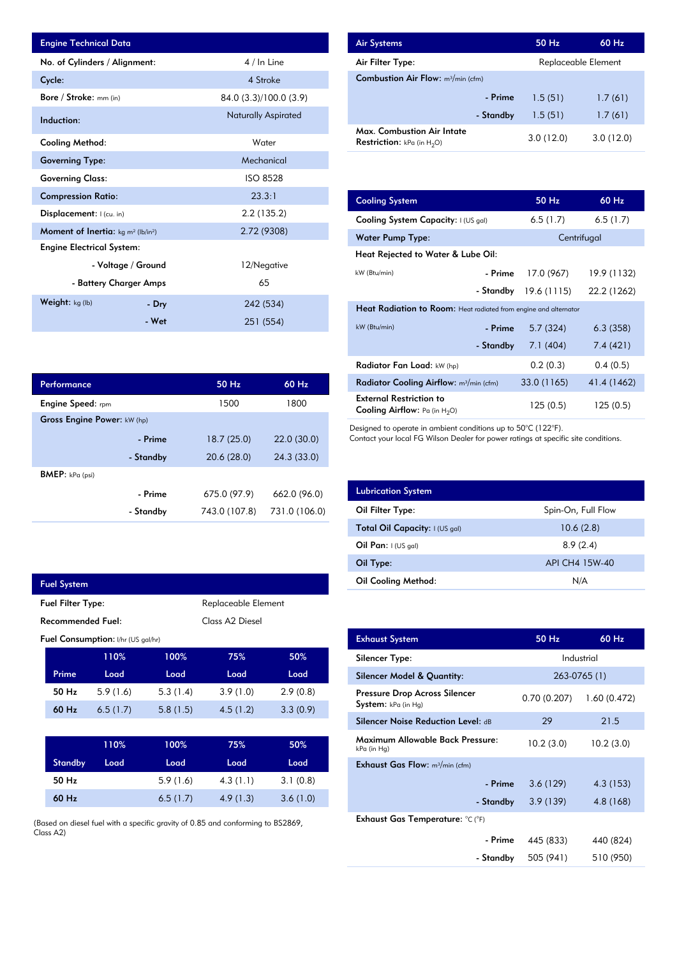| <b>Engine Technical Data</b>                       |                    |                            | <b>Air Systems</b>               |
|----------------------------------------------------|--------------------|----------------------------|----------------------------------|
| No. of Cylinders / Alignment:                      |                    | 4 / In Line                | Air Filter Ty                    |
| Cycle:                                             |                    | 4 Stroke                   | Combustior                       |
| Bore / Stroke: mm (in)                             |                    | 84.0 (3.3)/100.0 (3.9)     |                                  |
| Induction:                                         |                    | <b>Naturally Aspirated</b> |                                  |
| Cooling Method:                                    |                    | Water                      | Max. Comb<br><b>Restriction:</b> |
| <b>Governing Type:</b>                             |                    | Mechanical                 |                                  |
| <b>Governing Class:</b>                            |                    | <b>ISO 8528</b>            |                                  |
| <b>Compression Ratio:</b>                          |                    | 23.3:1                     | <b>Cooling Sys</b>               |
| Displacement:  (cu. in)                            |                    | 2.2(135.2)                 | <b>Cooling Sys</b>               |
| <b>Moment of Inertia:</b> $kg \, m^2 \, (lb/in^2)$ |                    | 2.72 (9308)                | Water Pum                        |
| <b>Engine Electrical System:</b>                   |                    |                            | <b>Heat Reject</b>               |
|                                                    | - Voltage / Ground | 12/Negative                | kW (Btu/min)                     |
| - Battery Charger Amps                             |                    | 65                         |                                  |
| Weight: kg (lb)                                    | - Dry              | 242 (534)                  | <b>Heat Radia</b>                |
|                                                    | - Wet              | 251 (554)                  | kW(Rt)                           |

| Performance                        |           | 50 Hz         | 60 Hz         |
|------------------------------------|-----------|---------------|---------------|
| <b>Engine Speed:</b> rpm           |           | 1500          | 1800          |
| <b>Gross Engine Power: kW (hp)</b> |           |               |               |
|                                    | - Prime   | 18.7(25.0)    | 22.0(30.0)    |
|                                    | - Standby | 20.6(28.0)    | 24.3 (33.0)   |
| <b>BMEP</b> : $kPa$ (psi)          |           |               |               |
|                                    | - Prime   | 675.0 (97.9)  | 662.0 (96.0)  |
|                                    | - Standby | 743.0 (107.8) | 731.0 (106.0) |

|                   | <b>Fuel System</b>       |                                           |                             |                     |          |  |
|-------------------|--------------------------|-------------------------------------------|-----------------------------|---------------------|----------|--|
|                   | <b>Fuel Filter Type:</b> |                                           |                             | Replaceable Element |          |  |
| Recommended Fuel: |                          |                                           | Class A <sub>2</sub> Diesel |                     |          |  |
|                   |                          | <b>Fuel Consumption:</b> I/hr (US gal/hr) |                             |                     |          |  |
|                   |                          | 110%                                      | 100%                        | 75%                 | 50%      |  |
|                   | Prime                    | Load                                      | Load                        | Load                | Load     |  |
|                   | 50 Hz                    | 5.9(1.6)                                  | 5.3(1.4)                    | 3.9(1.0)            | 2.9(0.8) |  |
|                   | 60 Hz                    | 6.5(1.7)                                  | 5.8(1.5)                    | 4.5(1.2)            | 3.3(0.9) |  |
|                   |                          |                                           |                             |                     |          |  |
|                   |                          | 110%                                      | 100%                        | 75%                 | 50%      |  |
|                   | <b>Standby</b>           | Load                                      | Load                        | Load                | Load     |  |
|                   | 50 Hz                    |                                           | 5.9(1.6)                    | 4.3(1.1)            | 3.1(0.8) |  |

(Based on diesel fuel with a specific gravity of 0.85 and conforming to BS2869, Class A2)

6.5 (1.7)

3.6 (1.0)

4.9 (1.3)

60 Hz

| <b>Air Systems</b>                                                        | 50 Hz               | $60$ Hz   |
|---------------------------------------------------------------------------|---------------------|-----------|
| Air Filter Type:                                                          | Replaceable Element |           |
| <b>Combustion Air Flow:</b> m <sup>3</sup> /min (cfm)                     |                     |           |
| - Prime                                                                   | 1.5(51)             | 1.7(61)   |
| - Standby                                                                 | 1.5(51)             | 1.7(61)   |
| <b>Max. Combustion Air Intate</b><br><b>Restriction:</b> kPa (in $H_2O$ ) | 3.0(12.0)           | 3.0(12.0) |

| 23.3:1         |                                                                           |                                                                  |             |  |  |
|----------------|---------------------------------------------------------------------------|------------------------------------------------------------------|-------------|--|--|
|                | <b>Cooling System</b>                                                     | 50 Hz                                                            | 60 Hz       |  |  |
| 2.2(135.2)     | Cooling System Capacity: I (US gal)                                       | 6.5(1.7)                                                         | 6.5(1.7)    |  |  |
| 2.72 (9308)    | <b>Water Pump Type:</b>                                                   |                                                                  | Centrifugal |  |  |
|                | Heat Rejected to Water & Lube Oil:                                        |                                                                  |             |  |  |
| 12/Negative    | kW (Btu/min)<br>- Prime                                                   | 17.0 (967)                                                       | 19.9 (1132) |  |  |
| 65             | - Standby                                                                 | 19.6(1115)                                                       | 22.2 (1262) |  |  |
| 242 (534)      |                                                                           | Heat Radiation to Room: Heat radiated from engine and alternator |             |  |  |
| 251 (554)      | kW (Btu/min)                                                              | 5.7(324)<br>- Prime                                              | 6.3(358)    |  |  |
|                | - Standby                                                                 | 7.1 (404)                                                        | 7.4(421)    |  |  |
|                | Radiator Fan Load: kW (hp)                                                | 0.2(0.3)                                                         | 0.4(0.5)    |  |  |
| 60 Hz<br>50 Hz | Radiator Cooling Airflow: m <sup>3</sup> /min (cfm)                       | 33.0 (1165)                                                      | 41.4 (1462) |  |  |
| 1800<br>1500   | <b>External Restriction to</b><br><b>Cooling Airflow:</b> Pa (in $H_2O$ ) | 125(0.5)                                                         | 125(0.5)    |  |  |

Designed to operate in ambient conditions up to 50°C (122°F).

Contact your local FG Wilson Dealer for power ratings at specific site conditions.

| <b>Lubrication System</b>      |                    |
|--------------------------------|--------------------|
| Oil Filter Type:               | Spin-On, Full Flow |
| Total Oil Capacity: I (US gal) | 10.6(2.8)          |
| Oil Pan: $I(US gal)$           | 8.9(2.4)           |
| Oil Type:                      | API CH4 15W-40     |
| <b>Oil Cooling Method:</b>     | N/A                |

| <b>Exhaust System</b>                                | 50 Hz        | 60 Hz        |
|------------------------------------------------------|--------------|--------------|
| Silencer Type:                                       |              | Industrial   |
| Silencer Model & Quantity:                           |              | 263-0765 (1) |
| Pressure Drop Across Silencer<br>System: kPa (in Hg) | 0.70 (0.207) | 1.60(0.472)  |
| <b>Silencer Noise Reduction Level: dB</b>            | 29           | 21.5         |
| Maximum Allowable Back Pressure:<br>kPa (in Hg)      | 10.2(3.0)    | 10.2(3.0)    |
| <b>Exhaust Gas Flow:</b> $m^3/m$ in (cfm)            |              |              |
| - Prime                                              | 3.6(129)     | 4.3 (153)    |
| - Standby                                            | 3.9(139)     | 4.8 (168)    |
| Exhaust Gas Temperature: °C (°F)                     |              |              |
| - Prime                                              | 445 (833)    | 440 (824)    |
| - Standby                                            | 505 (941)    | 510 (950)    |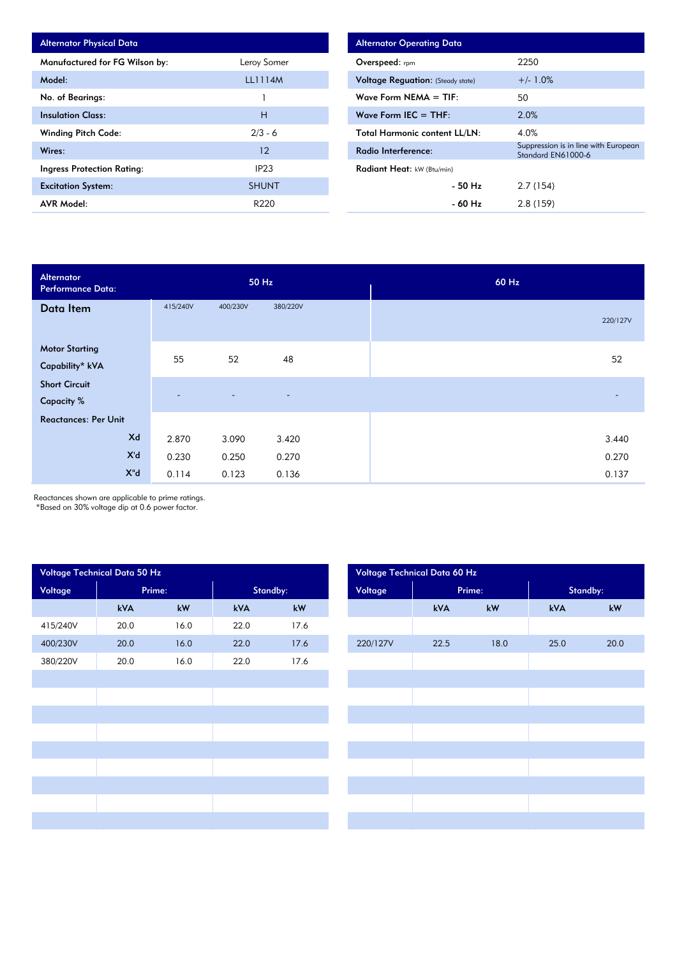| <b>Alternator Physical Data</b> |                |
|---------------------------------|----------------|
| Manufactured for FG Wilson by:  | Leroy Somer    |
| Model:                          | <b>LL1114M</b> |
| No. of Bearings:                |                |
| <b>Insulation Class:</b>        | н              |
| <b>Winding Pitch Code:</b>      | $2/3 - 6$      |
| Wires:                          | 12             |
| Ingress Protection Rating:      | IP23           |
| <b>Excitation System:</b>       | <b>SHUNT</b>   |
| <b>AVR Model:</b>               | R220           |

| <b>Alternator Operating Data</b>         |                                                            |
|------------------------------------------|------------------------------------------------------------|
| <b>Overspeed:</b> rpm                    | 2250                                                       |
| <b>Voltage Reguation:</b> (Steady state) | $+/- 1.0%$                                                 |
| Wave Form NEMA $=$ TIF:                  | 50                                                         |
| Wave Form IEC $=$ THF:                   | 2.0%                                                       |
| <b>Total Harmonic content LL/LN:</b>     | 4.0%                                                       |
| Radio Interference:                      | Suppression is in line with European<br>Standard EN61000-6 |
| Radiant Heat: kW (Btu/min)               |                                                            |
| - 50 Hz                                  | 2.7(154)                                                   |
| - 60 Hz                                  | 2.8(159)                                                   |

| Alternator<br><b>Performance Data:</b>    |          | 50 Hz    |                          | 60 Hz    |
|-------------------------------------------|----------|----------|--------------------------|----------|
| Data Item                                 | 415/240V | 400/230V | 380/220V                 | 220/127V |
| <b>Motor Starting</b><br>Capability* kVA  | 55       | 52       | 48                       | 52       |
| <b>Short Circuit</b><br><b>Capacity %</b> |          | ٠        | $\overline{\phantom{a}}$ |          |
| <b>Reactances: Per Unit</b>               |          |          |                          |          |
| Xd                                        | 2.870    | 3.090    | 3.420                    | 3.440    |
| X'd                                       | 0.230    | 0.250    | 0.270                    | 0.270    |
| $X^{\prime\prime}$ d                      | 0.114    | 0.123    | 0.136                    | 0.137    |

Reactances shown are applicable to prime ratings.

\*Based on 30% voltage dip at 0.6 power factor.

| Voltage Technical Data 50 Hz |        |                        |          |      | Voltage Technical Data 60 Hz |        |      |          |                        |  |
|------------------------------|--------|------------------------|----------|------|------------------------------|--------|------|----------|------------------------|--|
| Voltage                      | Prime: |                        | Standby: |      | Voltage                      | Prime: |      | Standby: |                        |  |
|                              | kVA    | $\mathsf{k}\mathsf{W}$ | kVA      | kW   |                              | kVA    | kW   | kVA      | $\mathsf{k}\mathsf{W}$ |  |
| 415/240V                     | 20.0   | 16.0                   | 22.0     | 17.6 |                              |        |      |          |                        |  |
| 400/230V                     | 20.0   | 16.0                   | 22.0     | 17.6 | 220/127V                     | 22.5   | 18.0 | 25.0     | 20.0                   |  |
| 380/220V                     | 20.0   | 16.0                   | 22.0     | 17.6 |                              |        |      |          |                        |  |
|                              |        |                        |          |      |                              |        |      |          |                        |  |
|                              |        |                        |          |      |                              |        |      |          |                        |  |
|                              |        |                        |          |      |                              |        |      |          |                        |  |
|                              |        |                        |          |      |                              |        |      |          |                        |  |
|                              |        |                        |          |      |                              |        |      |          |                        |  |
|                              |        |                        |          |      |                              |        |      |          |                        |  |
|                              |        |                        |          |      |                              |        |      |          |                        |  |
|                              |        |                        |          |      |                              |        |      |          |                        |  |
|                              |        |                        |          |      |                              |        |      |          |                        |  |